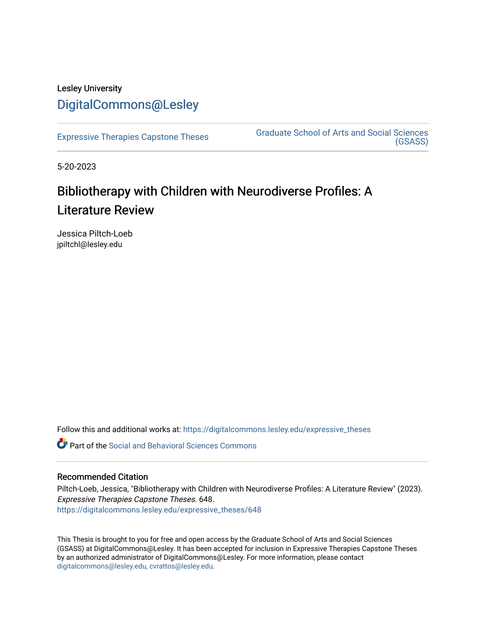## Lesley University [DigitalCommons@Lesley](https://digitalcommons.lesley.edu/)

[Expressive Therapies Capstone Theses](https://digitalcommons.lesley.edu/expressive_theses) Graduate School of Arts and Social Sciences [\(GSASS\)](https://digitalcommons.lesley.edu/gsass) 

5-20-2023

# Bibliotherapy with Children with Neurodiverse Profiles: A Literature Review

Jessica Piltch-Loeb jpiltchl@lesley.edu

Follow this and additional works at: [https://digitalcommons.lesley.edu/expressive\\_theses](https://digitalcommons.lesley.edu/expressive_theses?utm_source=digitalcommons.lesley.edu%2Fexpressive_theses%2F648&utm_medium=PDF&utm_campaign=PDFCoverPages)

Part of the [Social and Behavioral Sciences Commons](https://network.bepress.com/hgg/discipline/316?utm_source=digitalcommons.lesley.edu%2Fexpressive_theses%2F648&utm_medium=PDF&utm_campaign=PDFCoverPages) 

## Recommended Citation

Piltch-Loeb, Jessica, "Bibliotherapy with Children with Neurodiverse Profiles: A Literature Review" (2023). Expressive Therapies Capstone Theses. 648. [https://digitalcommons.lesley.edu/expressive\\_theses/648](https://digitalcommons.lesley.edu/expressive_theses/648?utm_source=digitalcommons.lesley.edu%2Fexpressive_theses%2F648&utm_medium=PDF&utm_campaign=PDFCoverPages)

This Thesis is brought to you for free and open access by the Graduate School of Arts and Social Sciences (GSASS) at DigitalCommons@Lesley. It has been accepted for inclusion in Expressive Therapies Capstone Theses by an authorized administrator of DigitalCommons@Lesley. For more information, please contact [digitalcommons@lesley.edu, cvrattos@lesley.edu](mailto:digitalcommons@lesley.edu,%20cvrattos@lesley.edu).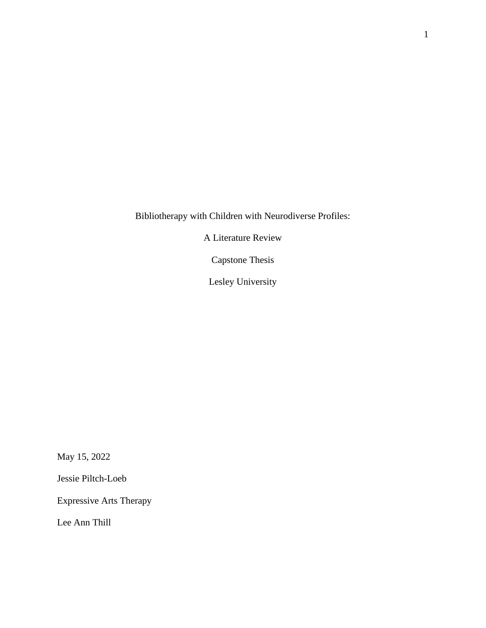Bibliotherapy with Children with Neurodiverse Profiles:

A Literature Review

Capstone Thesis

Lesley University

May 15, 2022

Jessie Piltch-Loeb

Expressive Arts Therapy

Lee Ann Thill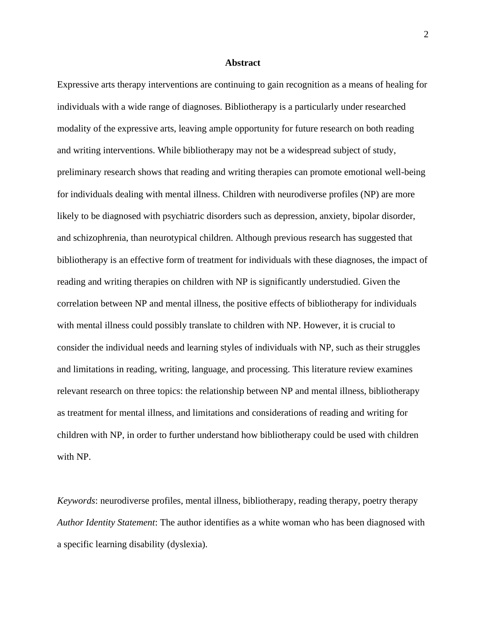## **Abstract**

Expressive arts therapy interventions are continuing to gain recognition as a means of healing for individuals with a wide range of diagnoses. Bibliotherapy is a particularly under researched modality of the expressive arts, leaving ample opportunity for future research on both reading and writing interventions. While bibliotherapy may not be a widespread subject of study, preliminary research shows that reading and writing therapies can promote emotional well-being for individuals dealing with mental illness. Children with neurodiverse profiles (NP) are more likely to be diagnosed with psychiatric disorders such as depression, anxiety, bipolar disorder, and schizophrenia, than neurotypical children. Although previous research has suggested that bibliotherapy is an effective form of treatment for individuals with these diagnoses, the impact of reading and writing therapies on children with NP is significantly understudied. Given the correlation between NP and mental illness, the positive effects of bibliotherapy for individuals with mental illness could possibly translate to children with NP. However, it is crucial to consider the individual needs and learning styles of individuals with NP, such as their struggles and limitations in reading, writing, language, and processing. This literature review examines relevant research on three topics: the relationship between NP and mental illness, bibliotherapy as treatment for mental illness, and limitations and considerations of reading and writing for children with NP, in order to further understand how bibliotherapy could be used with children with NP.

*Keywords*: neurodiverse profiles, mental illness, bibliotherapy, reading therapy, poetry therapy *Author Identity Statement*: The author identifies as a white woman who has been diagnosed with a specific learning disability (dyslexia).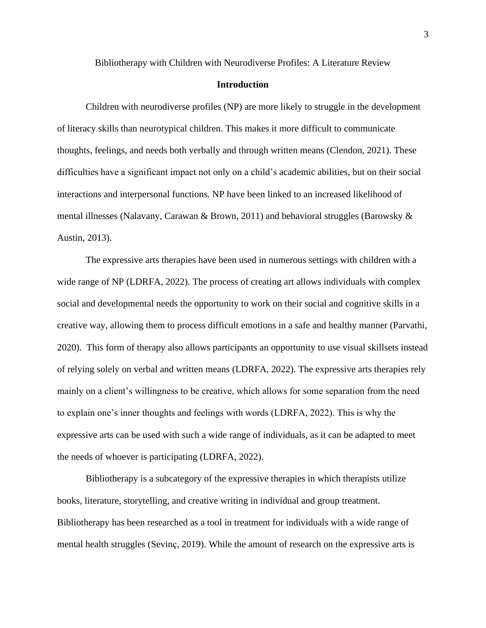Bibliotherapy with Children with Neurodiverse Profiles: A Literature Review

## **Introduction**

Children with neurodiverse profiles (NP) are more likely to struggle in the development of literacy skills than neurotypical children. This makes it more difficult to communicate thoughts, feelings, and needs both verbally and through written means (Clendon, 2021). These difficulties have a significant impact not only on a child's academic abilities, but on their social interactions and interpersonal functions. NP have been linked to an increased likelihood of mental illnesses (Nalavany, Carawan & Brown, 2011) and behavioral struggles (Barowsky & Austin, 2013).

The expressive arts therapies have been used in numerous settings with children with a wide range of NP (LDRFA, 2022). The process of creating art allows individuals with complex social and developmental needs the opportunity to work on their social and cognitive skills in a creative way, allowing them to process difficult emotions in a safe and healthy manner (Parvathi, 2020). This form of therapy also allows participants an opportunity to use visual skillsets instead of relying solely on verbal and written means (LDRFA, 2022). The expressive arts therapies rely mainly on a client's willingness to be creative, which allows for some separation from the need to explain one's inner thoughts and feelings with words (LDRFA, 2022). This is why the expressive arts can be used with such a wide range of individuals, as it can be adapted to meet the needs of whoever is participating (LDRFA, 2022).

Bibliotherapy is a subcategory of the expressive therapies in which therapists utilize books, literature, storytelling, and creative writing in individual and group treatment. Bibliotherapy has been researched as a tool in treatment for individuals with a wide range of mental health struggles (Sevinç, 2019). While the amount of research on the expressive arts is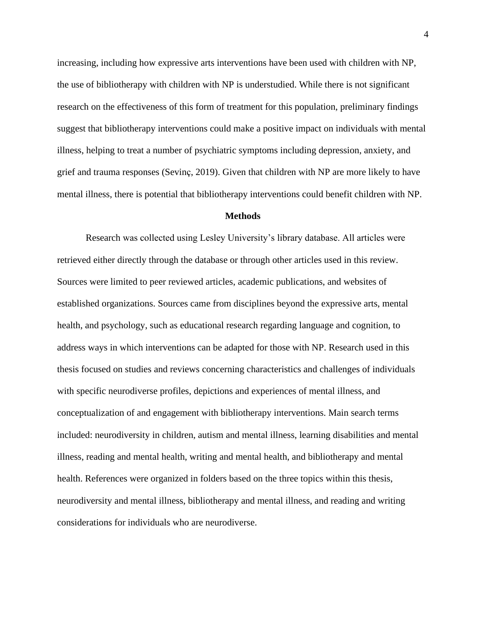increasing, including how expressive arts interventions have been used with children with NP, the use of bibliotherapy with children with NP is understudied. While there is not significant research on the effectiveness of this form of treatment for this population, preliminary findings suggest that bibliotherapy interventions could make a positive impact on individuals with mental illness, helping to treat a number of psychiatric symptoms including depression, anxiety, and grief and trauma responses (Sevinç, 2019). Given that children with NP are more likely to have mental illness, there is potential that bibliotherapy interventions could benefit children with NP.

## **Methods**

Research was collected using Lesley University's library database. All articles were retrieved either directly through the database or through other articles used in this review. Sources were limited to peer reviewed articles, academic publications, and websites of established organizations. Sources came from disciplines beyond the expressive arts, mental health, and psychology, such as educational research regarding language and cognition, to address ways in which interventions can be adapted for those with NP. Research used in this thesis focused on studies and reviews concerning characteristics and challenges of individuals with specific neurodiverse profiles, depictions and experiences of mental illness, and conceptualization of and engagement with bibliotherapy interventions. Main search terms included: neurodiversity in children, autism and mental illness, learning disabilities and mental illness, reading and mental health, writing and mental health, and bibliotherapy and mental health. References were organized in folders based on the three topics within this thesis, neurodiversity and mental illness, bibliotherapy and mental illness, and reading and writing considerations for individuals who are neurodiverse.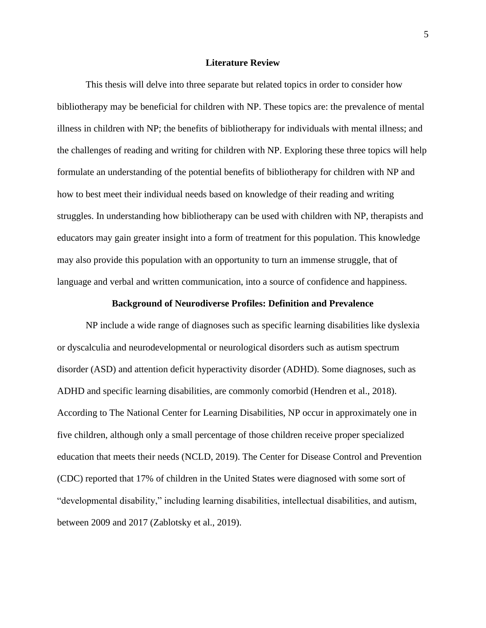## **Literature Review**

This thesis will delve into three separate but related topics in order to consider how bibliotherapy may be beneficial for children with NP. These topics are: the prevalence of mental illness in children with NP; the benefits of bibliotherapy for individuals with mental illness; and the challenges of reading and writing for children with NP. Exploring these three topics will help formulate an understanding of the potential benefits of bibliotherapy for children with NP and how to best meet their individual needs based on knowledge of their reading and writing struggles. In understanding how bibliotherapy can be used with children with NP, therapists and educators may gain greater insight into a form of treatment for this population. This knowledge may also provide this population with an opportunity to turn an immense struggle, that of language and verbal and written communication, into a source of confidence and happiness.

## **Background of Neurodiverse Profiles: Definition and Prevalence**

NP include a wide range of diagnoses such as specific learning disabilities like dyslexia or dyscalculia and neurodevelopmental or neurological disorders such as autism spectrum disorder (ASD) and attention deficit hyperactivity disorder (ADHD). Some diagnoses, such as ADHD and specific learning disabilities, are commonly comorbid (Hendren et al., 2018). According to The National Center for Learning Disabilities, NP occur in approximately one in five children, although only a small percentage of those children receive proper specialized education that meets their needs (NCLD, 2019). The Center for Disease Control and Prevention (CDC) reported that 17% of children in the United States were diagnosed with some sort of "developmental disability," including learning disabilities, intellectual disabilities, and autism, between 2009 and 2017 (Zablotsky et al., 2019).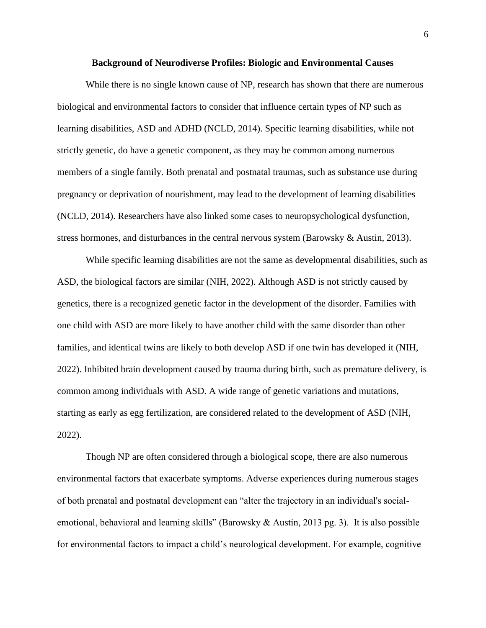#### **Background of Neurodiverse Profiles: Biologic and Environmental Causes**

While there is no single known cause of NP, research has shown that there are numerous biological and environmental factors to consider that influence certain types of NP such as learning disabilities, ASD and ADHD (NCLD, 2014). Specific learning disabilities, while not strictly genetic, do have a genetic component, as they may be common among numerous members of a single family. Both prenatal and postnatal traumas, such as substance use during pregnancy or deprivation of nourishment, may lead to the development of learning disabilities (NCLD, 2014). Researchers have also linked some cases to neuropsychological dysfunction, stress hormones, and disturbances in the central nervous system (Barowsky & Austin, 2013).

While specific learning disabilities are not the same as developmental disabilities, such as ASD, the biological factors are similar (NIH, 2022). Although ASD is not strictly caused by genetics, there is a recognized genetic factor in the development of the disorder. Families with one child with ASD are more likely to have another child with the same disorder than other families, and identical twins are likely to both develop ASD if one twin has developed it (NIH, 2022). Inhibited brain development caused by trauma during birth, such as premature delivery, is common among individuals with ASD. A wide range of genetic variations and mutations, starting as early as egg fertilization, are considered related to the development of ASD (NIH, 2022).

Though NP are often considered through a biological scope, there are also numerous environmental factors that exacerbate symptoms. Adverse experiences during numerous stages of both prenatal and postnatal development can "alter the trajectory in an individual's socialemotional, behavioral and learning skills" (Barowsky & Austin, 2013 pg. 3). It is also possible for environmental factors to impact a child's neurological development. For example, cognitive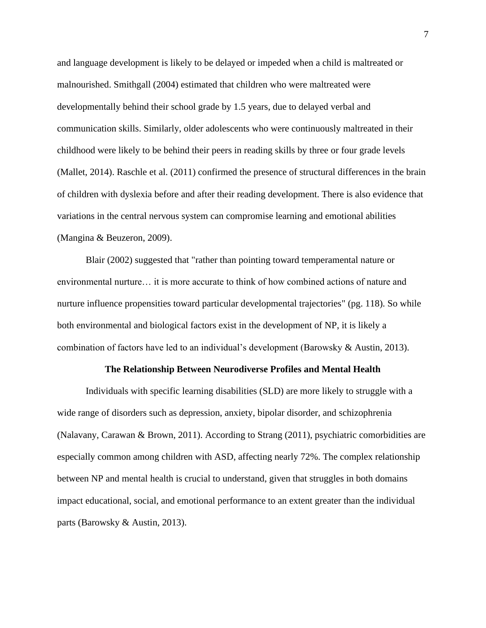and language development is likely to be delayed or impeded when a child is maltreated or malnourished. Smithgall (2004) estimated that children who were maltreated were developmentally behind their school grade by 1.5 years, due to delayed verbal and communication skills. Similarly, older adolescents who were continuously maltreated in their childhood were likely to be behind their peers in reading skills by three or four grade levels (Mallet, 2014). Raschle et al. (2011) confirmed the presence of structural differences in the brain of children with dyslexia before and after their reading development. There is also evidence that variations in the central nervous system can compromise learning and emotional abilities (Mangina & Beuzeron, 2009).

Blair (2002) suggested that "rather than pointing toward temperamental nature or environmental nurture… it is more accurate to think of how combined actions of nature and nurture influence propensities toward particular developmental trajectories" (pg. 118). So while both environmental and biological factors exist in the development of NP, it is likely a combination of factors have led to an individual's development (Barowsky & Austin, 2013).

## **The Relationship Between Neurodiverse Profiles and Mental Health**

Individuals with specific learning disabilities (SLD) are more likely to struggle with a wide range of disorders such as depression, anxiety, bipolar disorder, and schizophrenia (Nalavany, Carawan & Brown, 2011). According to Strang (2011), psychiatric comorbidities are especially common among children with ASD, affecting nearly 72%. The complex relationship between NP and mental health is crucial to understand, given that struggles in both domains impact educational, social, and emotional performance to an extent greater than the individual parts (Barowsky & Austin, 2013).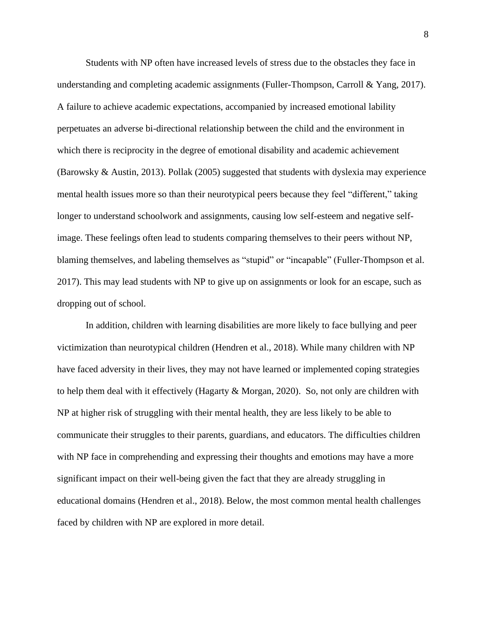Students with NP often have increased levels of stress due to the obstacles they face in understanding and completing academic assignments (Fuller-Thompson, Carroll & Yang, 2017). A failure to achieve academic expectations, accompanied by increased emotional lability perpetuates an adverse bi-directional relationship between the child and the environment in which there is reciprocity in the degree of emotional disability and academic achievement (Barowsky & Austin, 2013). Pollak (2005) suggested that students with dyslexia may experience mental health issues more so than their neurotypical peers because they feel "different," taking longer to understand schoolwork and assignments, causing low self-esteem and negative selfimage. These feelings often lead to students comparing themselves to their peers without NP, blaming themselves, and labeling themselves as "stupid" or "incapable" (Fuller-Thompson et al. 2017). This may lead students with NP to give up on assignments or look for an escape, such as dropping out of school.

In addition, children with learning disabilities are more likely to face bullying and peer victimization than neurotypical children (Hendren et al., 2018). While many children with NP have faced adversity in their lives, they may not have learned or implemented coping strategies to help them deal with it effectively (Hagarty & Morgan, 2020). So, not only are children with NP at higher risk of struggling with their mental health, they are less likely to be able to communicate their struggles to their parents, guardians, and educators. The difficulties children with NP face in comprehending and expressing their thoughts and emotions may have a more significant impact on their well-being given the fact that they are already struggling in educational domains (Hendren et al., 2018). Below, the most common mental health challenges faced by children with NP are explored in more detail.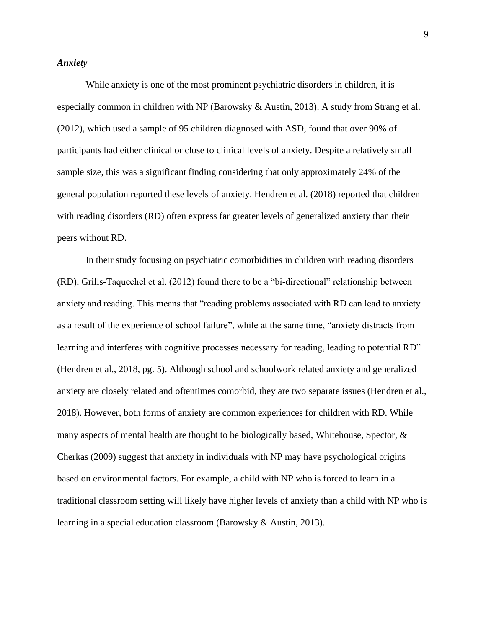## *Anxiety*

While anxiety is one of the most prominent psychiatric disorders in children, it is especially common in children with NP (Barowsky & Austin, 2013). A study from Strang et al. (2012), which used a sample of 95 children diagnosed with ASD, found that over 90% of participants had either clinical or close to clinical levels of anxiety. Despite a relatively small sample size, this was a significant finding considering that only approximately 24% of the general population reported these levels of anxiety. Hendren et al. (2018) reported that children with reading disorders (RD) often express far greater levels of generalized anxiety than their peers without RD.

In their study focusing on psychiatric comorbidities in children with reading disorders (RD), Grills-Taquechel et al. (2012) found there to be a "bi-directional" relationship between anxiety and reading. This means that "reading problems associated with RD can lead to anxiety as a result of the experience of school failure", while at the same time, "anxiety distracts from learning and interferes with cognitive processes necessary for reading, leading to potential RD" (Hendren et al., 2018, pg. 5). Although school and schoolwork related anxiety and generalized anxiety are closely related and oftentimes comorbid, they are two separate issues (Hendren et al., 2018). However, both forms of anxiety are common experiences for children with RD. While many aspects of mental health are thought to be biologically based, Whitehouse, Spector, & Cherkas (2009) suggest that anxiety in individuals with NP may have psychological origins based on environmental factors. For example, a child with NP who is forced to learn in a traditional classroom setting will likely have higher levels of anxiety than a child with NP who is learning in a special education classroom (Barowsky & Austin, 2013).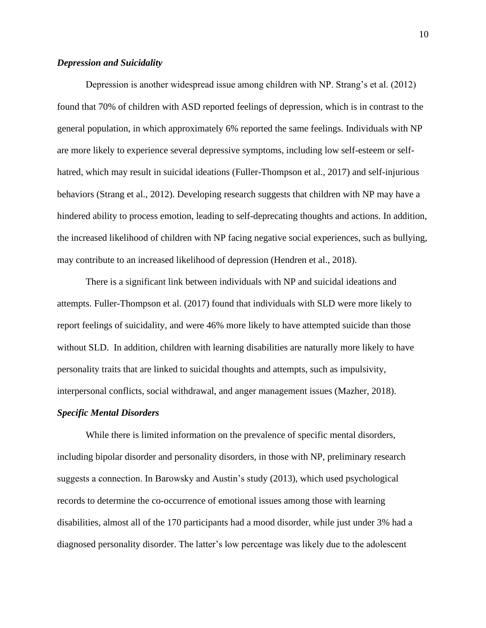## *Depression and Suicidality*

Depression is another widespread issue among children with NP. Strang's et al. (2012) found that 70% of children with ASD reported feelings of depression, which is in contrast to the general population, in which approximately 6% reported the same feelings. Individuals with NP are more likely to experience several depressive symptoms, including low self-esteem or selfhatred, which may result in suicidal ideations (Fuller-Thompson et al., 2017) and self-injurious behaviors (Strang et al., 2012). Developing research suggests that children with NP may have a hindered ability to process emotion, leading to self-deprecating thoughts and actions. In addition, the increased likelihood of children with NP facing negative social experiences, such as bullying, may contribute to an increased likelihood of depression (Hendren et al., 2018).

There is a significant link between individuals with NP and suicidal ideations and attempts. Fuller-Thompson et al. (2017) found that individuals with SLD were more likely to report feelings of suicidality, and were 46% more likely to have attempted suicide than those without SLD. In addition, children with learning disabilities are naturally more likely to have personality traits that are linked to suicidal thoughts and attempts, such as impulsivity, interpersonal conflicts, social withdrawal, and anger management issues (Mazher, 2018).

#### *Specific Mental Disorders*

While there is limited information on the prevalence of specific mental disorders, including bipolar disorder and personality disorders, in those with NP, preliminary research suggests a connection. In Barowsky and Austin's study (2013), which used psychological records to determine the co-occurrence of emotional issues among those with learning disabilities, almost all of the 170 participants had a mood disorder, while just under 3% had a diagnosed personality disorder. The latter's low percentage was likely due to the adolescent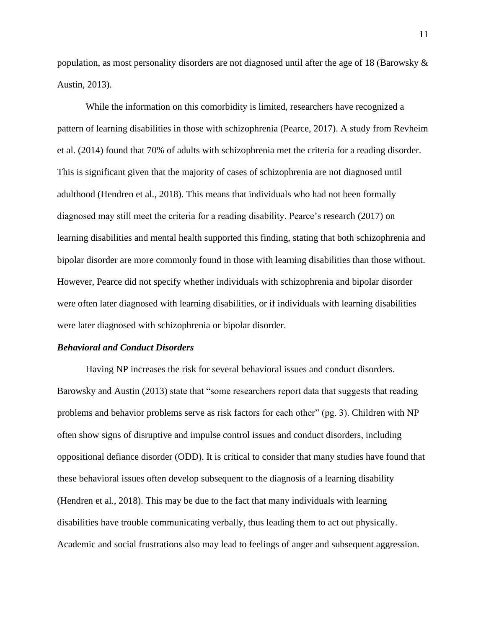population, as most personality disorders are not diagnosed until after the age of 18 (Barowsky & Austin, 2013).

While the information on this comorbidity is limited, researchers have recognized a pattern of learning disabilities in those with schizophrenia (Pearce, 2017). A study from Revheim et al. (2014) found that 70% of adults with schizophrenia met the criteria for a reading disorder. This is significant given that the majority of cases of schizophrenia are not diagnosed until adulthood (Hendren et al., 2018). This means that individuals who had not been formally diagnosed may still meet the criteria for a reading disability. Pearce's research (2017) on learning disabilities and mental health supported this finding, stating that both schizophrenia and bipolar disorder are more commonly found in those with learning disabilities than those without. However, Pearce did not specify whether individuals with schizophrenia and bipolar disorder were often later diagnosed with learning disabilities, or if individuals with learning disabilities were later diagnosed with schizophrenia or bipolar disorder.

## *Behavioral and Conduct Disorders*

Having NP increases the risk for several behavioral issues and conduct disorders. Barowsky and Austin (2013) state that "some researchers report data that suggests that reading problems and behavior problems serve as risk factors for each other" (pg. 3). Children with NP often show signs of disruptive and impulse control issues and conduct disorders, including oppositional defiance disorder (ODD). It is critical to consider that many studies have found that these behavioral issues often develop subsequent to the diagnosis of a learning disability (Hendren et al., 2018). This may be due to the fact that many individuals with learning disabilities have trouble communicating verbally, thus leading them to act out physically. Academic and social frustrations also may lead to feelings of anger and subsequent aggression.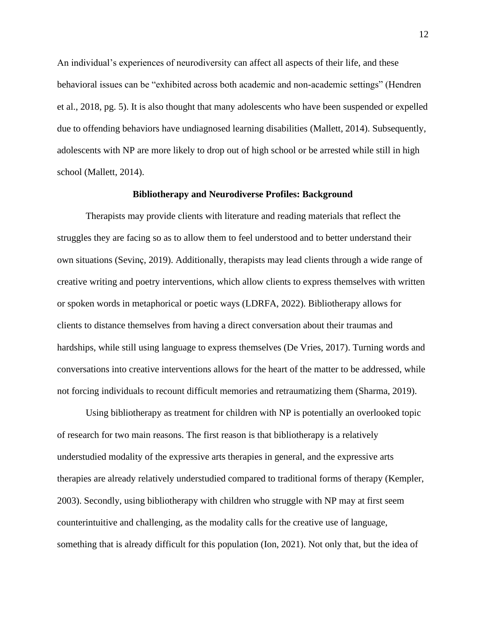An individual's experiences of neurodiversity can affect all aspects of their life, and these behavioral issues can be "exhibited across both academic and non-academic settings" (Hendren et al., 2018, pg. 5). It is also thought that many adolescents who have been suspended or expelled due to offending behaviors have undiagnosed learning disabilities (Mallett, 2014). Subsequently, adolescents with NP are more likely to drop out of high school or be arrested while still in high school (Mallett, 2014).

#### **Bibliotherapy and Neurodiverse Profiles: Background**

Therapists may provide clients with literature and reading materials that reflect the struggles they are facing so as to allow them to feel understood and to better understand their own situations (Sevinç, 2019). Additionally, therapists may lead clients through a wide range of creative writing and poetry interventions, which allow clients to express themselves with written or spoken words in metaphorical or poetic ways (LDRFA, 2022). Bibliotherapy allows for clients to distance themselves from having a direct conversation about their traumas and hardships, while still using language to express themselves (De Vries, 2017). Turning words and conversations into creative interventions allows for the heart of the matter to be addressed, while not forcing individuals to recount difficult memories and retraumatizing them (Sharma, 2019).

Using bibliotherapy as treatment for children with NP is potentially an overlooked topic of research for two main reasons. The first reason is that bibliotherapy is a relatively understudied modality of the expressive arts therapies in general, and the expressive arts therapies are already relatively understudied compared to traditional forms of therapy (Kempler, 2003). Secondly, using bibliotherapy with children who struggle with NP may at first seem counterintuitive and challenging, as the modality calls for the creative use of language, something that is already difficult for this population (Ion, 2021). Not only that, but the idea of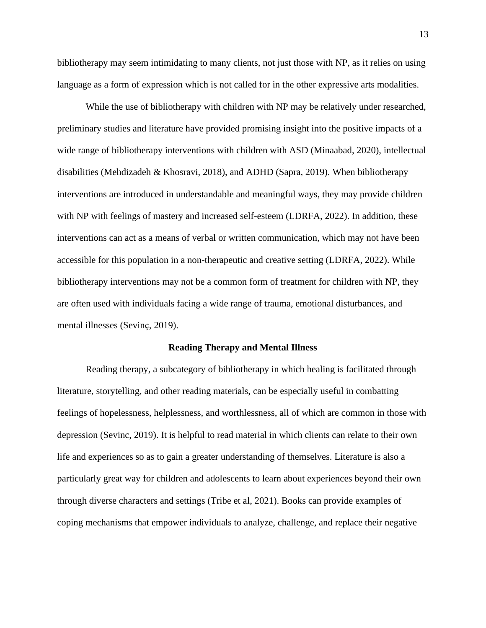bibliotherapy may seem intimidating to many clients, not just those with NP, as it relies on using language as a form of expression which is not called for in the other expressive arts modalities.

While the use of bibliotherapy with children with NP may be relatively under researched, preliminary studies and literature have provided promising insight into the positive impacts of a wide range of bibliotherapy interventions with children with ASD (Minaabad, 2020), intellectual disabilities (Mehdizadeh & Khosravi, 2018), and ADHD (Sapra, 2019). When bibliotherapy interventions are introduced in understandable and meaningful ways, they may provide children with NP with feelings of mastery and increased self-esteem (LDRFA, 2022). In addition, these interventions can act as a means of verbal or written communication, which may not have been accessible for this population in a non-therapeutic and creative setting (LDRFA, 2022). While bibliotherapy interventions may not be a common form of treatment for children with NP, they are often used with individuals facing a wide range of trauma, emotional disturbances, and mental illnesses (Sevinç, 2019).

#### **Reading Therapy and Mental Illness**

Reading therapy, a subcategory of bibliotherapy in which healing is facilitated through literature, storytelling, and other reading materials, can be especially useful in combatting feelings of hopelessness, helplessness, and worthlessness, all of which are common in those with depression (Sevinc, 2019). It is helpful to read material in which clients can relate to their own life and experiences so as to gain a greater understanding of themselves. Literature is also a particularly great way for children and adolescents to learn about experiences beyond their own through diverse characters and settings (Tribe et al, 2021). Books can provide examples of coping mechanisms that empower individuals to analyze, challenge, and replace their negative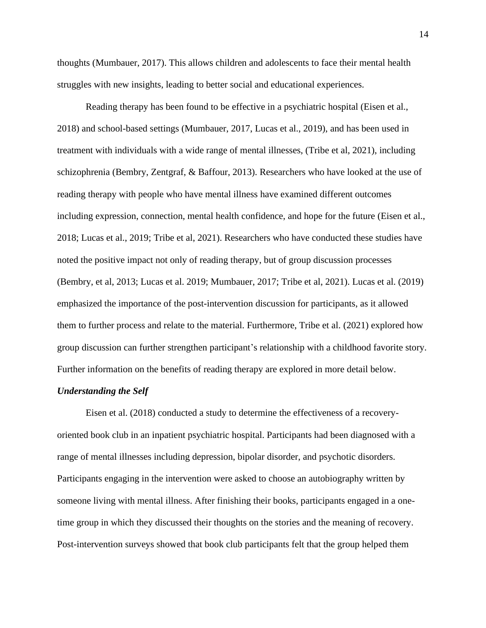thoughts (Mumbauer, 2017). This allows children and adolescents to face their mental health struggles with new insights, leading to better social and educational experiences.

Reading therapy has been found to be effective in a psychiatric hospital (Eisen et al., 2018) and school-based settings (Mumbauer, 2017, Lucas et al., 2019), and has been used in treatment with individuals with a wide range of mental illnesses, (Tribe et al, 2021), including schizophrenia (Bembry, Zentgraf, & Baffour, 2013). Researchers who have looked at the use of reading therapy with people who have mental illness have examined different outcomes including expression, connection, mental health confidence, and hope for the future (Eisen et al., 2018; Lucas et al., 2019; Tribe et al, 2021). Researchers who have conducted these studies have noted the positive impact not only of reading therapy, but of group discussion processes (Bembry, et al, 2013; Lucas et al. 2019; Mumbauer, 2017; Tribe et al, 2021). Lucas et al. (2019) emphasized the importance of the post-intervention discussion for participants, as it allowed them to further process and relate to the material. Furthermore, Tribe et al. (2021) explored how group discussion can further strengthen participant's relationship with a childhood favorite story. Further information on the benefits of reading therapy are explored in more detail below.

## *Understanding the Self*

Eisen et al. (2018) conducted a study to determine the effectiveness of a recoveryoriented book club in an inpatient psychiatric hospital. Participants had been diagnosed with a range of mental illnesses including depression, bipolar disorder, and psychotic disorders. Participants engaging in the intervention were asked to choose an autobiography written by someone living with mental illness. After finishing their books, participants engaged in a onetime group in which they discussed their thoughts on the stories and the meaning of recovery. Post-intervention surveys showed that book club participants felt that the group helped them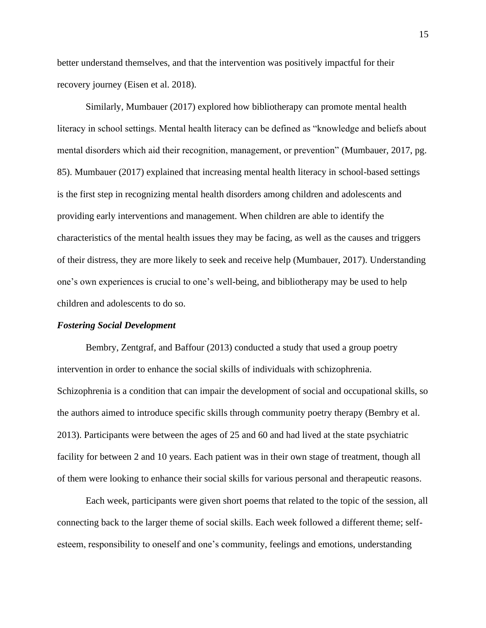better understand themselves, and that the intervention was positively impactful for their recovery journey (Eisen et al. 2018).

Similarly, Mumbauer (2017) explored how bibliotherapy can promote mental health literacy in school settings. Mental health literacy can be defined as "knowledge and beliefs about mental disorders which aid their recognition, management, or prevention" (Mumbauer, 2017, pg. 85). Mumbauer (2017) explained that increasing mental health literacy in school-based settings is the first step in recognizing mental health disorders among children and adolescents and providing early interventions and management. When children are able to identify the characteristics of the mental health issues they may be facing, as well as the causes and triggers of their distress, they are more likely to seek and receive help (Mumbauer, 2017). Understanding one's own experiences is crucial to one's well-being, and bibliotherapy may be used to help children and adolescents to do so.

## *Fostering Social Development*

Bembry, Zentgraf, and Baffour (2013) conducted a study that used a group poetry intervention in order to enhance the social skills of individuals with schizophrenia. Schizophrenia is a condition that can impair the development of social and occupational skills, so the authors aimed to introduce specific skills through community poetry therapy (Bembry et al. 2013). Participants were between the ages of 25 and 60 and had lived at the state psychiatric facility for between 2 and 10 years. Each patient was in their own stage of treatment, though all of them were looking to enhance their social skills for various personal and therapeutic reasons.

Each week, participants were given short poems that related to the topic of the session, all connecting back to the larger theme of social skills. Each week followed a different theme; selfesteem, responsibility to oneself and one's community, feelings and emotions, understanding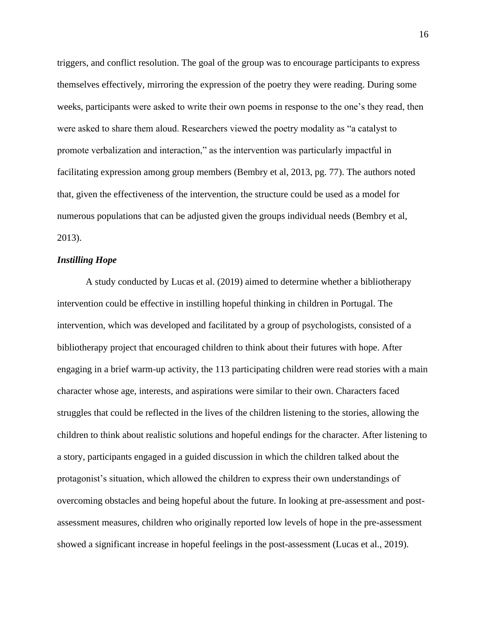triggers, and conflict resolution. The goal of the group was to encourage participants to express themselves effectively, mirroring the expression of the poetry they were reading. During some weeks, participants were asked to write their own poems in response to the one's they read, then were asked to share them aloud. Researchers viewed the poetry modality as "a catalyst to promote verbalization and interaction," as the intervention was particularly impactful in facilitating expression among group members (Bembry et al, 2013, pg. 77). The authors noted that, given the effectiveness of the intervention, the structure could be used as a model for numerous populations that can be adjusted given the groups individual needs (Bembry et al, 2013).

## *Instilling Hope*

A study conducted by Lucas et al. (2019) aimed to determine whether a bibliotherapy intervention could be effective in instilling hopeful thinking in children in Portugal. The intervention, which was developed and facilitated by a group of psychologists, consisted of a bibliotherapy project that encouraged children to think about their futures with hope. After engaging in a brief warm-up activity, the 113 participating children were read stories with a main character whose age, interests, and aspirations were similar to their own. Characters faced struggles that could be reflected in the lives of the children listening to the stories, allowing the children to think about realistic solutions and hopeful endings for the character. After listening to a story, participants engaged in a guided discussion in which the children talked about the protagonist's situation, which allowed the children to express their own understandings of overcoming obstacles and being hopeful about the future. In looking at pre-assessment and postassessment measures, children who originally reported low levels of hope in the pre-assessment showed a significant increase in hopeful feelings in the post-assessment (Lucas et al., 2019).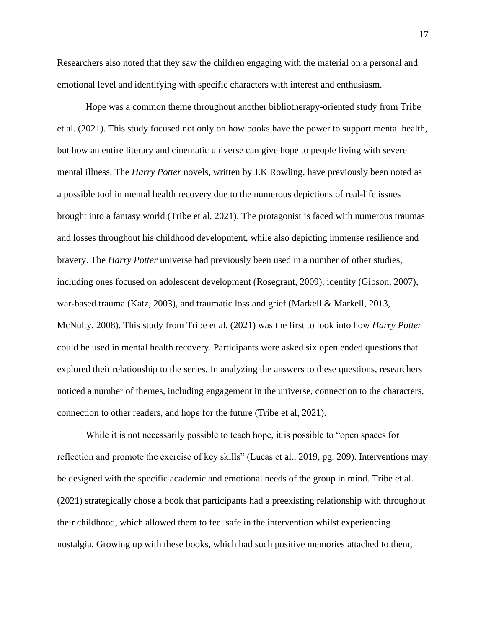Researchers also noted that they saw the children engaging with the material on a personal and emotional level and identifying with specific characters with interest and enthusiasm.

Hope was a common theme throughout another bibliotherapy-oriented study from Tribe et al. (2021). This study focused not only on how books have the power to support mental health, but how an entire literary and cinematic universe can give hope to people living with severe mental illness. The *Harry Potter* novels, written by J.K Rowling, have previously been noted as a possible tool in mental health recovery due to the numerous depictions of real-life issues brought into a fantasy world (Tribe et al, 2021). The protagonist is faced with numerous traumas and losses throughout his childhood development, while also depicting immense resilience and bravery. The *Harry Potter* universe had previously been used in a number of other studies, including ones focused on adolescent development (Rosegrant, 2009), identity (Gibson, 2007), war-based trauma (Katz, 2003), and traumatic loss and grief (Markell & Markell, 2013, McNulty, 2008). This study from Tribe et al. (2021) was the first to look into how *Harry Potter* could be used in mental health recovery. Participants were asked six open ended questions that explored their relationship to the series. In analyzing the answers to these questions, researchers noticed a number of themes, including engagement in the universe, connection to the characters, connection to other readers, and hope for the future (Tribe et al, 2021).

While it is not necessarily possible to teach hope, it is possible to "open spaces for reflection and promote the exercise of key skills" (Lucas et al., 2019, pg. 209). Interventions may be designed with the specific academic and emotional needs of the group in mind. Tribe et al. (2021) strategically chose a book that participants had a preexisting relationship with throughout their childhood, which allowed them to feel safe in the intervention whilst experiencing nostalgia. Growing up with these books, which had such positive memories attached to them,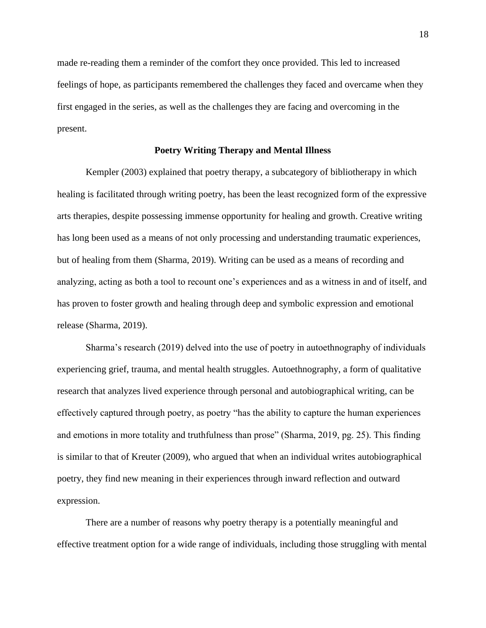made re-reading them a reminder of the comfort they once provided. This led to increased feelings of hope, as participants remembered the challenges they faced and overcame when they first engaged in the series, as well as the challenges they are facing and overcoming in the present.

## **Poetry Writing Therapy and Mental Illness**

Kempler (2003) explained that poetry therapy, a subcategory of bibliotherapy in which healing is facilitated through writing poetry, has been the least recognized form of the expressive arts therapies, despite possessing immense opportunity for healing and growth. Creative writing has long been used as a means of not only processing and understanding traumatic experiences, but of healing from them (Sharma, 2019). Writing can be used as a means of recording and analyzing, acting as both a tool to recount one's experiences and as a witness in and of itself, and has proven to foster growth and healing through deep and symbolic expression and emotional release (Sharma, 2019).

Sharma's research (2019) delved into the use of poetry in autoethnography of individuals experiencing grief, trauma, and mental health struggles. Autoethnography, a form of qualitative research that analyzes lived experience through personal and autobiographical writing, can be effectively captured through poetry, as poetry "has the ability to capture the human experiences and emotions in more totality and truthfulness than prose" (Sharma, 2019, pg. 25). This finding is similar to that of Kreuter (2009), who argued that when an individual writes autobiographical poetry, they find new meaning in their experiences through inward reflection and outward expression.

There are a number of reasons why poetry therapy is a potentially meaningful and effective treatment option for a wide range of individuals, including those struggling with mental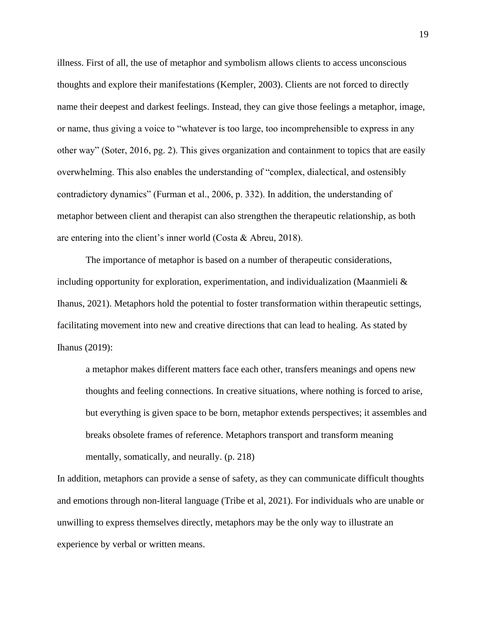illness. First of all, the use of metaphor and symbolism allows clients to access unconscious thoughts and explore their manifestations (Kempler, 2003). Clients are not forced to directly name their deepest and darkest feelings. Instead, they can give those feelings a metaphor, image, or name, thus giving a voice to "whatever is too large, too incomprehensible to express in any other way" (Soter, 2016, pg. 2). This gives organization and containment to topics that are easily overwhelming. This also enables the understanding of "complex, dialectical, and ostensibly contradictory dynamics" (Furman et al., 2006, p. 332). In addition, the understanding of metaphor between client and therapist can also strengthen the therapeutic relationship, as both are entering into the client's inner world (Costa & Abreu, 2018).

The importance of metaphor is based on a number of therapeutic considerations, including opportunity for exploration, experimentation, and individualization (Maanmieli & Ihanus, 2021). Metaphors hold the potential to foster transformation within therapeutic settings, facilitating movement into new and creative directions that can lead to healing. As stated by Ihanus (2019):

a metaphor makes different matters face each other, transfers meanings and opens new thoughts and feeling connections. In creative situations, where nothing is forced to arise, but everything is given space to be born, metaphor extends perspectives; it assembles and breaks obsolete frames of reference. Metaphors transport and transform meaning mentally, somatically, and neurally. (p. 218)

In addition, metaphors can provide a sense of safety, as they can communicate difficult thoughts and emotions through non-literal language (Tribe et al, 2021). For individuals who are unable or unwilling to express themselves directly, metaphors may be the only way to illustrate an experience by verbal or written means.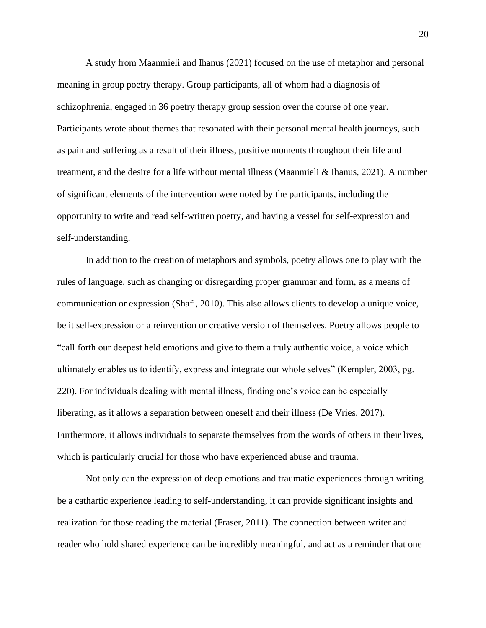A study from Maanmieli and Ihanus (2021) focused on the use of metaphor and personal meaning in group poetry therapy. Group participants, all of whom had a diagnosis of schizophrenia, engaged in 36 poetry therapy group session over the course of one year. Participants wrote about themes that resonated with their personal mental health journeys, such as pain and suffering as a result of their illness, positive moments throughout their life and treatment, and the desire for a life without mental illness (Maanmieli & Ihanus, 2021). A number of significant elements of the intervention were noted by the participants, including the opportunity to write and read self-written poetry, and having a vessel for self-expression and self-understanding.

In addition to the creation of metaphors and symbols, poetry allows one to play with the rules of language, such as changing or disregarding proper grammar and form, as a means of communication or expression (Shafi, 2010). This also allows clients to develop a unique voice, be it self-expression or a reinvention or creative version of themselves. Poetry allows people to "call forth our deepest held emotions and give to them a truly authentic voice, a voice which ultimately enables us to identify, express and integrate our whole selves" (Kempler, 2003, pg. 220). For individuals dealing with mental illness, finding one's voice can be especially liberating, as it allows a separation between oneself and their illness (De Vries, 2017). Furthermore, it allows individuals to separate themselves from the words of others in their lives, which is particularly crucial for those who have experienced abuse and trauma.

Not only can the expression of deep emotions and traumatic experiences through writing be a cathartic experience leading to self-understanding, it can provide significant insights and realization for those reading the material (Fraser, 2011). The connection between writer and reader who hold shared experience can be incredibly meaningful, and act as a reminder that one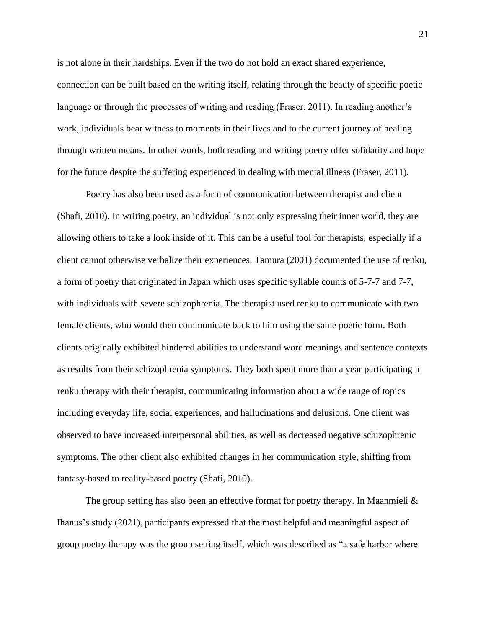is not alone in their hardships. Even if the two do not hold an exact shared experience, connection can be built based on the writing itself, relating through the beauty of specific poetic language or through the processes of writing and reading (Fraser, 2011). In reading another's work, individuals bear witness to moments in their lives and to the current journey of healing through written means. In other words, both reading and writing poetry offer solidarity and hope for the future despite the suffering experienced in dealing with mental illness (Fraser, 2011).

Poetry has also been used as a form of communication between therapist and client (Shafi, 2010). In writing poetry, an individual is not only expressing their inner world, they are allowing others to take a look inside of it. This can be a useful tool for therapists, especially if a client cannot otherwise verbalize their experiences. Tamura (2001) documented the use of renku, a form of poetry that originated in Japan which uses specific syllable counts of 5-7-7 and 7-7, with individuals with severe schizophrenia. The therapist used renku to communicate with two female clients, who would then communicate back to him using the same poetic form. Both clients originally exhibited hindered abilities to understand word meanings and sentence contexts as results from their schizophrenia symptoms. They both spent more than a year participating in renku therapy with their therapist, communicating information about a wide range of topics including everyday life, social experiences, and hallucinations and delusions. One client was observed to have increased interpersonal abilities, as well as decreased negative schizophrenic symptoms. The other client also exhibited changes in her communication style, shifting from fantasy-based to reality-based poetry (Shafi, 2010).

The group setting has also been an effective format for poetry therapy. In Maanmieli & Ihanus's study (2021), participants expressed that the most helpful and meaningful aspect of group poetry therapy was the group setting itself, which was described as "a safe harbor where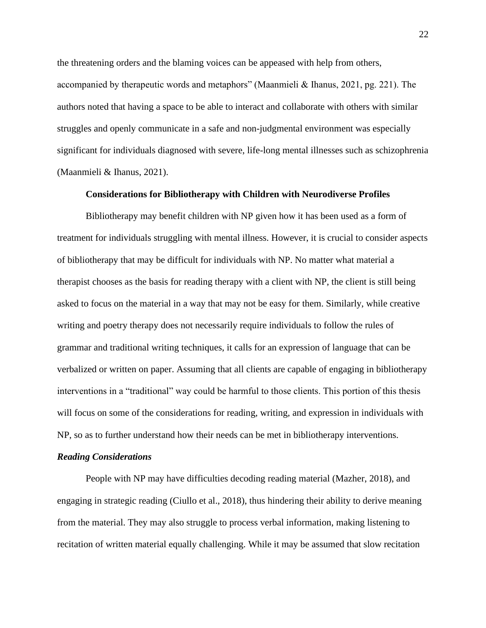the threatening orders and the blaming voices can be appeased with help from others, accompanied by therapeutic words and metaphors" (Maanmieli & Ihanus, 2021, pg. 221). The authors noted that having a space to be able to interact and collaborate with others with similar struggles and openly communicate in a safe and non-judgmental environment was especially significant for individuals diagnosed with severe, life-long mental illnesses such as schizophrenia (Maanmieli & Ihanus, 2021).

## **Considerations for Bibliotherapy with Children with Neurodiverse Profiles**

Bibliotherapy may benefit children with NP given how it has been used as a form of treatment for individuals struggling with mental illness. However, it is crucial to consider aspects of bibliotherapy that may be difficult for individuals with NP. No matter what material a therapist chooses as the basis for reading therapy with a client with NP, the client is still being asked to focus on the material in a way that may not be easy for them. Similarly, while creative writing and poetry therapy does not necessarily require individuals to follow the rules of grammar and traditional writing techniques, it calls for an expression of language that can be verbalized or written on paper. Assuming that all clients are capable of engaging in bibliotherapy interventions in a "traditional" way could be harmful to those clients. This portion of this thesis will focus on some of the considerations for reading, writing, and expression in individuals with NP, so as to further understand how their needs can be met in bibliotherapy interventions.

#### *Reading Considerations*

People with NP may have difficulties decoding reading material (Mazher, 2018), and engaging in strategic reading (Ciullo et al., 2018), thus hindering their ability to derive meaning from the material. They may also struggle to process verbal information, making listening to recitation of written material equally challenging. While it may be assumed that slow recitation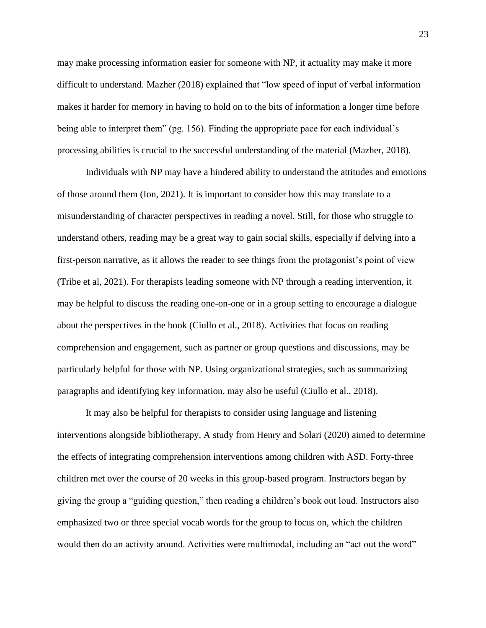may make processing information easier for someone with NP, it actuality may make it more difficult to understand. Mazher (2018) explained that "low speed of input of verbal information makes it harder for memory in having to hold on to the bits of information a longer time before being able to interpret them" (pg. 156). Finding the appropriate pace for each individual's processing abilities is crucial to the successful understanding of the material (Mazher, 2018).

Individuals with NP may have a hindered ability to understand the attitudes and emotions of those around them (Ion, 2021). It is important to consider how this may translate to a misunderstanding of character perspectives in reading a novel. Still, for those who struggle to understand others, reading may be a great way to gain social skills, especially if delving into a first-person narrative, as it allows the reader to see things from the protagonist's point of view (Tribe et al, 2021). For therapists leading someone with NP through a reading intervention, it may be helpful to discuss the reading one-on-one or in a group setting to encourage a dialogue about the perspectives in the book (Ciullo et al., 2018). Activities that focus on reading comprehension and engagement, such as partner or group questions and discussions, may be particularly helpful for those with NP. Using organizational strategies, such as summarizing paragraphs and identifying key information, may also be useful (Ciullo et al., 2018).

It may also be helpful for therapists to consider using language and listening interventions alongside bibliotherapy. A study from Henry and Solari (2020) aimed to determine the effects of integrating comprehension interventions among children with ASD. Forty-three children met over the course of 20 weeks in this group-based program. Instructors began by giving the group a "guiding question," then reading a children's book out loud. Instructors also emphasized two or three special vocab words for the group to focus on, which the children would then do an activity around. Activities were multimodal, including an "act out the word"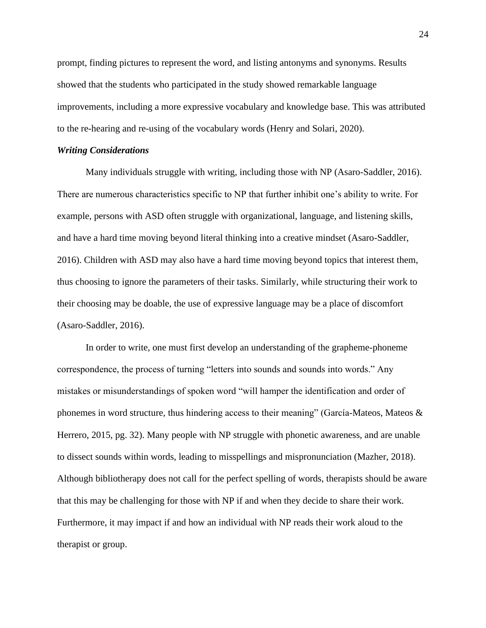prompt, finding pictures to represent the word, and listing antonyms and synonyms. Results showed that the students who participated in the study showed remarkable language improvements, including a more expressive vocabulary and knowledge base. This was attributed to the re-hearing and re-using of the vocabulary words (Henry and Solari, 2020).

#### *Writing Considerations*

Many individuals struggle with writing, including those with NP (Asaro-Saddler, 2016). There are numerous characteristics specific to NP that further inhibit one's ability to write. For example, persons with ASD often struggle with organizational, language, and listening skills, and have a hard time moving beyond literal thinking into a creative mindset (Asaro-Saddler, 2016). Children with ASD may also have a hard time moving beyond topics that interest them, thus choosing to ignore the parameters of their tasks. Similarly, while structuring their work to their choosing may be doable, the use of expressive language may be a place of discomfort (Asaro-Saddler, 2016).

In order to write, one must first develop an understanding of the grapheme-phoneme correspondence, the process of turning "letters into sounds and sounds into words." Any mistakes or misunderstandings of spoken word "will hamper the identification and order of phonemes in word structure, thus hindering access to their meaning" (García-Mateos, Mateos & Herrero, 2015, pg. 32). Many people with NP struggle with phonetic awareness, and are unable to dissect sounds within words, leading to misspellings and mispronunciation (Mazher, 2018). Although bibliotherapy does not call for the perfect spelling of words, therapists should be aware that this may be challenging for those with NP if and when they decide to share their work. Furthermore, it may impact if and how an individual with NP reads their work aloud to the therapist or group.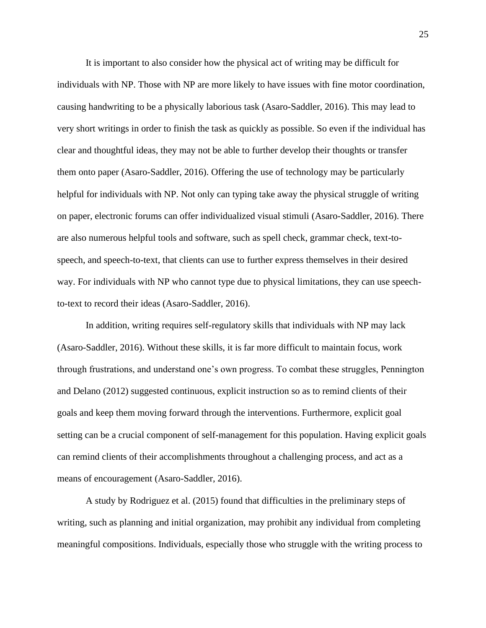It is important to also consider how the physical act of writing may be difficult for individuals with NP. Those with NP are more likely to have issues with fine motor coordination, causing handwriting to be a physically laborious task (Asaro-Saddler, 2016). This may lead to very short writings in order to finish the task as quickly as possible. So even if the individual has clear and thoughtful ideas, they may not be able to further develop their thoughts or transfer them onto paper (Asaro-Saddler, 2016). Offering the use of technology may be particularly helpful for individuals with NP. Not only can typing take away the physical struggle of writing on paper, electronic forums can offer individualized visual stimuli (Asaro-Saddler, 2016). There are also numerous helpful tools and software, such as spell check, grammar check, text-tospeech, and speech-to-text, that clients can use to further express themselves in their desired way. For individuals with NP who cannot type due to physical limitations, they can use speechto-text to record their ideas (Asaro-Saddler, 2016).

In addition, writing requires self-regulatory skills that individuals with NP may lack (Asaro-Saddler, 2016). Without these skills, it is far more difficult to maintain focus, work through frustrations, and understand one's own progress. To combat these struggles, Pennington and Delano (2012) suggested continuous, explicit instruction so as to remind clients of their goals and keep them moving forward through the interventions. Furthermore, explicit goal setting can be a crucial component of self-management for this population. Having explicit goals can remind clients of their accomplishments throughout a challenging process, and act as a means of encouragement (Asaro-Saddler, 2016).

A study by Rodriguez et al. (2015) found that difficulties in the preliminary steps of writing, such as planning and initial organization, may prohibit any individual from completing meaningful compositions. Individuals, especially those who struggle with the writing process to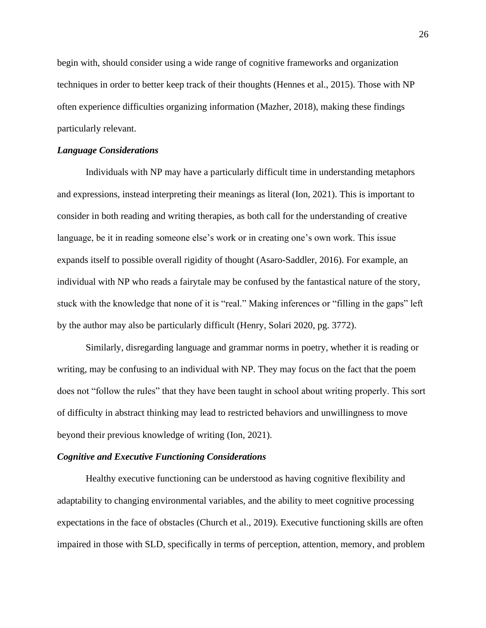begin with, should consider using a wide range of cognitive frameworks and organization techniques in order to better keep track of their thoughts (Hennes et al., 2015). Those with NP often experience difficulties organizing information (Mazher, 2018), making these findings particularly relevant.

## *Language Considerations*

Individuals with NP may have a particularly difficult time in understanding metaphors and expressions, instead interpreting their meanings as literal (Ion, 2021). This is important to consider in both reading and writing therapies, as both call for the understanding of creative language, be it in reading someone else's work or in creating one's own work. This issue expands itself to possible overall rigidity of thought (Asaro-Saddler, 2016). For example, an individual with NP who reads a fairytale may be confused by the fantastical nature of the story, stuck with the knowledge that none of it is "real." Making inferences or "filling in the gaps" left by the author may also be particularly difficult (Henry, Solari 2020, pg. 3772).

Similarly, disregarding language and grammar norms in poetry, whether it is reading or writing, may be confusing to an individual with NP. They may focus on the fact that the poem does not "follow the rules" that they have been taught in school about writing properly. This sort of difficulty in abstract thinking may lead to restricted behaviors and unwillingness to move beyond their previous knowledge of writing (Ion, 2021).

#### *Cognitive and Executive Functioning Considerations*

Healthy executive functioning can be understood as having cognitive flexibility and adaptability to changing environmental variables, and the ability to meet cognitive processing expectations in the face of obstacles (Church et al., 2019). Executive functioning skills are often impaired in those with SLD, specifically in terms of perception, attention, memory, and problem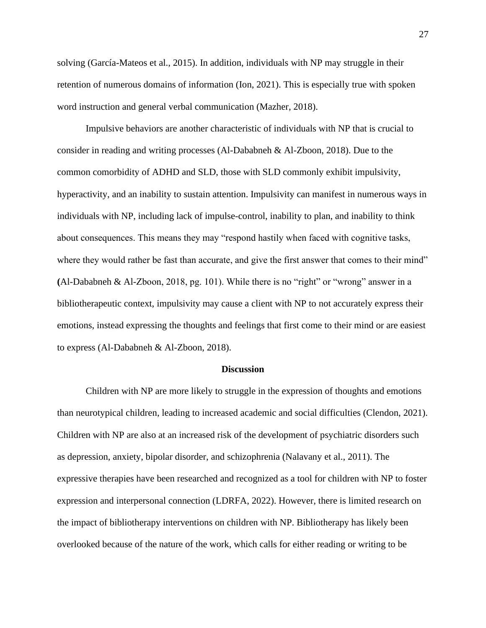solving (García-Mateos et al., 2015). In addition, individuals with NP may struggle in their retention of numerous domains of information (Ion, 2021). This is especially true with spoken word instruction and general verbal communication (Mazher, 2018).

Impulsive behaviors are another characteristic of individuals with NP that is crucial to consider in reading and writing processes (Al-Dababneh & Al-Zboon, 2018). Due to the common comorbidity of ADHD and SLD, those with SLD commonly exhibit impulsivity, hyperactivity, and an inability to sustain attention. Impulsivity can manifest in numerous ways in individuals with NP, including lack of impulse-control, inability to plan, and inability to think about consequences. This means they may "respond hastily when faced with cognitive tasks, where they would rather be fast than accurate, and give the first answer that comes to their mind" **(**Al-Dababneh & Al-Zboon, 2018, pg. 101). While there is no "right" or "wrong" answer in a bibliotherapeutic context, impulsivity may cause a client with NP to not accurately express their emotions, instead expressing the thoughts and feelings that first come to their mind or are easiest to express (Al-Dababneh & Al-Zboon, 2018).

## **Discussion**

Children with NP are more likely to struggle in the expression of thoughts and emotions than neurotypical children, leading to increased academic and social difficulties (Clendon, 2021). Children with NP are also at an increased risk of the development of psychiatric disorders such as depression, anxiety, bipolar disorder, and schizophrenia (Nalavany et al., 2011). The expressive therapies have been researched and recognized as a tool for children with NP to foster expression and interpersonal connection (LDRFA, 2022). However, there is limited research on the impact of bibliotherapy interventions on children with NP. Bibliotherapy has likely been overlooked because of the nature of the work, which calls for either reading or writing to be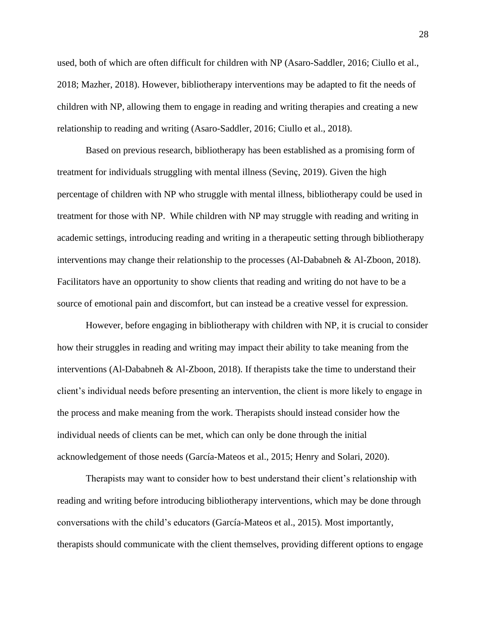used, both of which are often difficult for children with NP (Asaro-Saddler, 2016; Ciullo et al., 2018; Mazher, 2018). However, bibliotherapy interventions may be adapted to fit the needs of children with NP, allowing them to engage in reading and writing therapies and creating a new relationship to reading and writing (Asaro-Saddler, 2016; Ciullo et al., 2018).

Based on previous research, bibliotherapy has been established as a promising form of treatment for individuals struggling with mental illness (Sevinç, 2019). Given the high percentage of children with NP who struggle with mental illness, bibliotherapy could be used in treatment for those with NP. While children with NP may struggle with reading and writing in academic settings, introducing reading and writing in a therapeutic setting through bibliotherapy interventions may change their relationship to the processes (Al-Dababneh & Al-Zboon, 2018). Facilitators have an opportunity to show clients that reading and writing do not have to be a source of emotional pain and discomfort, but can instead be a creative vessel for expression.

However, before engaging in bibliotherapy with children with NP, it is crucial to consider how their struggles in reading and writing may impact their ability to take meaning from the interventions (Al-Dababneh & Al-Zboon, 2018). If therapists take the time to understand their client's individual needs before presenting an intervention, the client is more likely to engage in the process and make meaning from the work. Therapists should instead consider how the individual needs of clients can be met, which can only be done through the initial acknowledgement of those needs (García-Mateos et al., 2015; Henry and Solari, 2020).

Therapists may want to consider how to best understand their client's relationship with reading and writing before introducing bibliotherapy interventions, which may be done through conversations with the child's educators (García-Mateos et al., 2015). Most importantly, therapists should communicate with the client themselves, providing different options to engage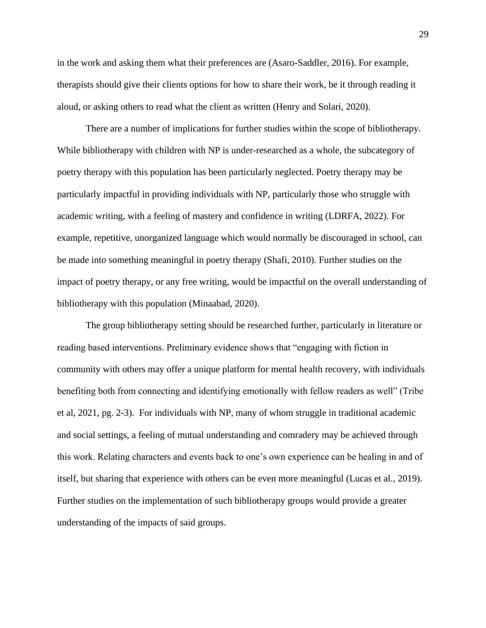in the work and asking them what their preferences are (Asaro-Saddler, 2016). For example, therapists should give their clients options for how to share their work, be it through reading it aloud, or asking others to read what the client as written (Henry and Solari, 2020).

There are a number of implications for further studies within the scope of bibliotherapy. While bibliotherapy with children with NP is under-researched as a whole, the subcategory of poetry therapy with this population has been particularly neglected. Poetry therapy may be particularly impactful in providing individuals with NP, particularly those who struggle with academic writing, with a feeling of mastery and confidence in writing (LDRFA, 2022). For example, repetitive, unorganized language which would normally be discouraged in school, can be made into something meaningful in poetry therapy (Shafi, 2010). Further studies on the impact of poetry therapy, or any free writing, would be impactful on the overall understanding of bibliotherapy with this population (Minaabad, 2020).

The group bibliotherapy setting should be researched further, particularly in literature or reading based interventions. Preliminary evidence shows that "engaging with fiction in community with others may offer a unique platform for mental health recovery, with individuals benefiting both from connecting and identifying emotionally with fellow readers as well" (Tribe et al, 2021, pg. 2-3). For individuals with NP, many of whom struggle in traditional academic and social settings, a feeling of mutual understanding and comradery may be achieved through this work. Relating characters and events back to one's own experience can be healing in and of itself, but sharing that experience with others can be even more meaningful (Lucas et al., 2019). Further studies on the implementation of such bibliotherapy groups would provide a greater understanding of the impacts of said groups.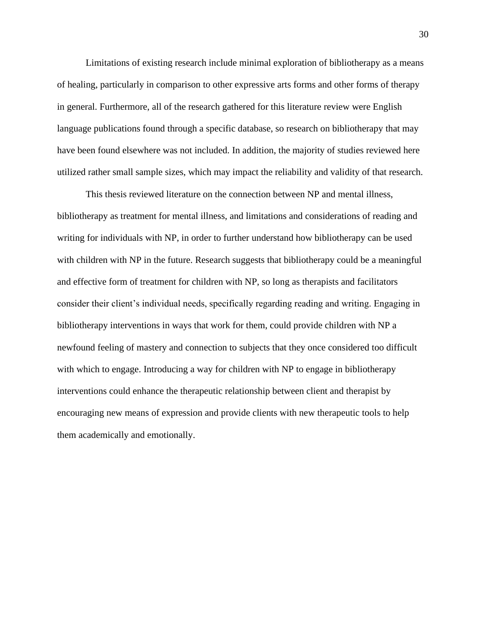Limitations of existing research include minimal exploration of bibliotherapy as a means of healing, particularly in comparison to other expressive arts forms and other forms of therapy in general. Furthermore, all of the research gathered for this literature review were English language publications found through a specific database, so research on bibliotherapy that may have been found elsewhere was not included. In addition, the majority of studies reviewed here utilized rather small sample sizes, which may impact the reliability and validity of that research.

This thesis reviewed literature on the connection between NP and mental illness, bibliotherapy as treatment for mental illness, and limitations and considerations of reading and writing for individuals with NP, in order to further understand how bibliotherapy can be used with children with NP in the future. Research suggests that bibliotherapy could be a meaningful and effective form of treatment for children with NP, so long as therapists and facilitators consider their client's individual needs, specifically regarding reading and writing. Engaging in bibliotherapy interventions in ways that work for them, could provide children with NP a newfound feeling of mastery and connection to subjects that they once considered too difficult with which to engage. Introducing a way for children with NP to engage in bibliotherapy interventions could enhance the therapeutic relationship between client and therapist by encouraging new means of expression and provide clients with new therapeutic tools to help them academically and emotionally.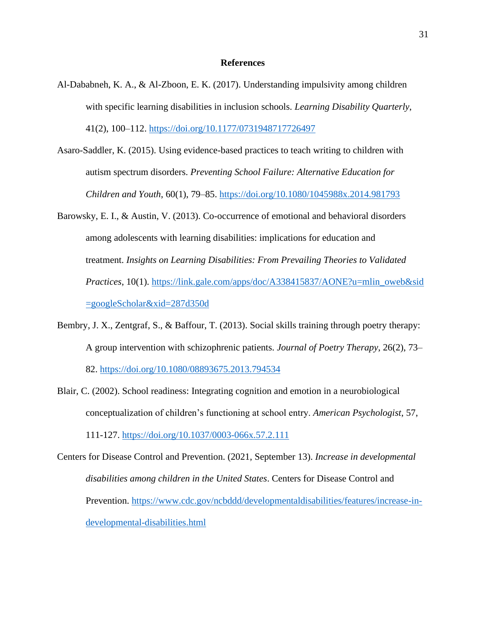## **References**

- Al-Dababneh, K. A., & Al-Zboon, E. K. (2017). Understanding impulsivity among children with specific learning disabilities in inclusion schools. *Learning Disability Quarterly*, 41(2), 100–112.<https://doi.org/10.1177/0731948717726497>
- Asaro-Saddler, K. (2015). Using evidence-based practices to teach writing to children with autism spectrum disorders. *Preventing School Failure: Alternative Education for Children and Youth*, 60(1), 79–85.<https://doi.org/10.1080/1045988x.2014.981793>
- Barowsky, E. I., & Austin, V. (2013). Co-occurrence of emotional and behavioral disorders among adolescents with learning disabilities: implications for education and treatment. *Insights on Learning Disabilities: From Prevailing Theories to Validated Practices*, 10(1). [https://link.gale.com/apps/doc/A338415837/AONE?u=mlin\\_oweb&sid](https://link.gale.com/apps/doc/A338415837/AONE?u=mlin_oweb&sid=googleScholar&xid=287d350d) [=googleScholar&xid=287d350d](https://link.gale.com/apps/doc/A338415837/AONE?u=mlin_oweb&sid=googleScholar&xid=287d350d)
- Bembry, J. X., Zentgraf, S., & Baffour, T. (2013). Social skills training through poetry therapy: A group intervention with schizophrenic patients. *Journal of Poetry Therapy*, 26(2), 73– 82.<https://doi.org/10.1080/08893675.2013.794534>
- Blair, C. (2002). School readiness: Integrating cognition and emotion in a neurobiological conceptualization of children's functioning at school entry. *American Psychologist*, 57, 111-127.<https://doi.org/10.1037/0003-066x.57.2.111>
- Centers for Disease Control and Prevention. (2021, September 13). *Increase in developmental disabilities among children in the United States*. Centers for Disease Control and Prevention. [https://www.cdc.gov/ncbddd/developmentaldisabilities/features/increase-in](https://www.cdc.gov/ncbddd/developmentaldisabilities/features/increase-in-developmental-disabilities.html)[developmental-disabilities.html](https://www.cdc.gov/ncbddd/developmentaldisabilities/features/increase-in-developmental-disabilities.html)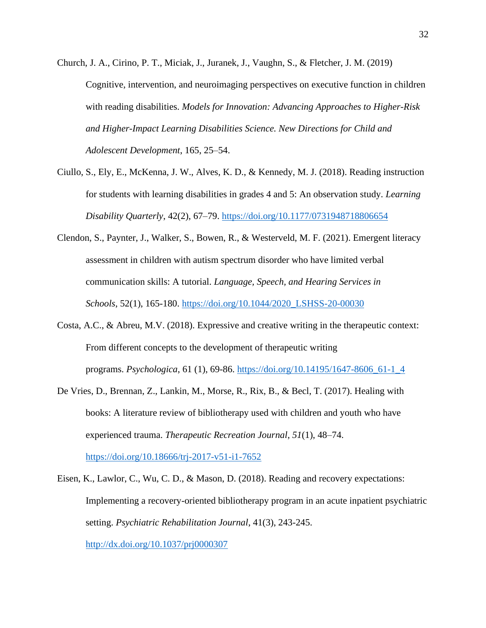- Church, J. A., Cirino, P. T., Miciak, J., Juranek, J., Vaughn, S., & Fletcher, J. M. (2019) Cognitive, intervention, and neuroimaging perspectives on executive function in children with reading disabilities. *Models for Innovation: Advancing Approaches to Higher-Risk and Higher-Impact Learning Disabilities Science. New Directions for Child and Adolescent Development*, 165, 25–54.
- Ciullo, S., Ely, E., McKenna, J. W., Alves, K. D., & Kennedy, M. J. (2018). Reading instruction for students with learning disabilities in grades 4 and 5: An observation study. *Learning Disability Quarterly*, 42(2), 67–79.<https://doi.org/10.1177/0731948718806654>
- Clendon, S., Paynter, J., Walker, S., Bowen, R., & Westerveld, M. F. (2021). Emergent literacy assessment in children with autism spectrum disorder who have limited verbal communication skills: A tutorial. *Language, Speech, and Hearing Services in Schools*, 52(1), 165-180. [https://doi.org/10.1044/2020\\_LSHSS-20-00030](https://doi.org/10.1044/2020_LSHSS-20-00030)
- Costa, A.C., & Abreu, M.V. (2018). Expressive and creative writing in the therapeutic context: From different concepts to the development of therapeutic writing programs. *Psychologica*, 61 (1), 69-86. [https://doi.org/10.14195/1647-8606\\_61-1\\_4](https://doi.org/10.14195/1647-8606_61-1_4)
- De Vries, D., Brennan, Z., Lankin, M., Morse, R., Rix, B., & Becl, T. (2017). Healing with books: A literature review of bibliotherapy used with children and youth who have experienced trauma. *Therapeutic Recreation Journal*, *51*(1), 48–74. <https://doi.org/10.18666/trj-2017-v51-i1-7652>
- Eisen, K., Lawlor, C., Wu, C. D., & Mason, D. (2018). Reading and recovery expectations: Implementing a recovery-oriented bibliotherapy program in an acute inpatient psychiatric setting. *Psychiatric Rehabilitation Journal*, 41(3), 243-245. <http://dx.doi.org/10.1037/prj0000307>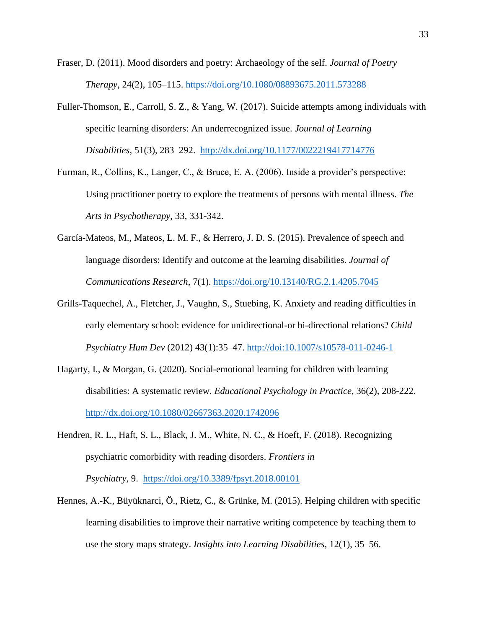Fraser, D. (2011). Mood disorders and poetry: Archaeology of the self. *Journal of Poetry Therapy*, 24(2), 105–115.<https://doi.org/10.1080/08893675.2011.573288>

- Fuller-Thomson, E., Carroll, S. Z., & Yang, W. (2017). Suicide attempts among individuals with specific learning disorders: An underrecognized issue. *Journal of Learning Disabilities*, 51(3), 283–292. <http://dx.doi.org/10.1177/0022219417714776>
- Furman, R., Collins, K., Langer, C., & Bruce, E. A. (2006). Inside a provider's perspective: Using practitioner poetry to explore the treatments of persons with mental illness. *The Arts in Psychotherapy*, 33, 331-342.
- García-Mateos, M., Mateos, L. M. F., & Herrero, J. D. S. (2015). Prevalence of speech and language disorders: Identify and outcome at the learning disabilities. *Journal of Communications Research*, 7(1).<https://doi.org/10.13140/RG.2.1.4205.7045>
- Grills-Taquechel, A., Fletcher, J., Vaughn, S., Stuebing, K. Anxiety and reading difficulties in early elementary school: evidence for unidirectional-or bi-directional relations? *Child Psychiatry Hum Dev* (2012) 43(1):35–47.<http://doi:10.1007/s10578-011-0246-1>
- Hagarty, I., & Morgan, G. (2020). Social-emotional learning for children with learning disabilities: A systematic review. *Educational Psychology in Practice*, 36(2), 208-222. <http://dx.doi.org/10.1080/02667363.2020.1742096>
- Hendren, R. L., Haft, S. L., Black, J. M., White, N. C., & Hoeft, F. (2018). Recognizing psychiatric comorbidity with reading disorders. *Frontiers in Psychiatry*, 9. <https://doi.org/10.3389/fpsyt.2018.00101>
- Hennes, A.-K., Büyüknarci, Ö., Rietz, C., & Grünke, M. (2015). Helping children with specific learning disabilities to improve their narrative writing competence by teaching them to use the story maps strategy. *Insights into Learning Disabilities*, 12(1), 35–56.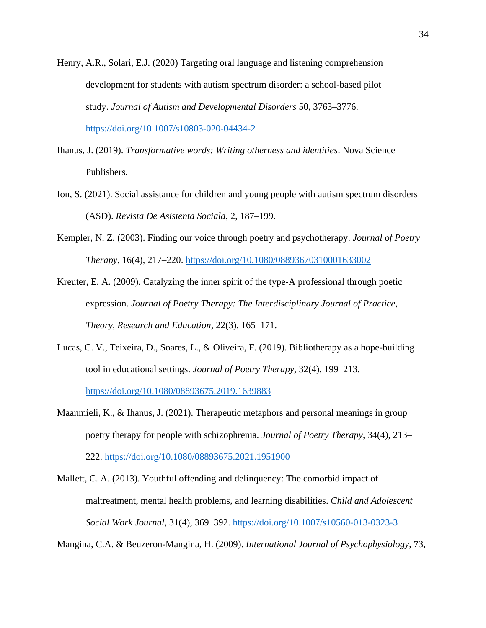- Henry, A.R., Solari, E.J. (2020) Targeting oral language and listening comprehension development for students with autism spectrum disorder: a school-based pilot study. *Journal of Autism and Developmental Disorders* 50, 3763–3776. <https://doi.org/10.1007/s10803-020-04434-2>
- Ihanus, J. (2019). *Transformative words: Writing otherness and identities*. Nova Science Publishers.
- Ion, S. (2021). Social assistance for children and young people with autism spectrum disorders (ASD). *Revista De Asistenta Sociala*, 2, 187–199.
- Kempler, N. Z. (2003). Finding our voice through poetry and psychotherapy. *Journal of Poetry Therapy*, 16(4), 217–220.<https://doi.org/10.1080/08893670310001633002>
- Kreuter, E. A. (2009). Catalyzing the inner spirit of the type-A professional through poetic expression. *Journal of Poetry Therapy: The Interdisciplinary Journal of Practice, Theory, Research and Education*, 22(3), 165–171.
- Lucas, C. V., Teixeira, D., Soares, L., & Oliveira, F. (2019). Bibliotherapy as a hope-building tool in educational settings. *Journal of Poetry Therapy*, 32(4), 199–213. <https://doi.org/10.1080/08893675.2019.1639883>
- Maanmieli, K., & Ihanus, J. (2021). Therapeutic metaphors and personal meanings in group poetry therapy for people with schizophrenia. *Journal of Poetry Therapy*, 34(4), 213– 222.<https://doi.org/10.1080/08893675.2021.1951900>
- Mallett, C. A. (2013). Youthful offending and delinquency: The comorbid impact of maltreatment, mental health problems, and learning disabilities. *Child and Adolescent Social Work Journal*, 31(4), 369–392. [https://doi.org/10.1007/s10560-013-0323-3](https://psycnet.apa.org/doi/10.1007/s10560-013-0323-3)

Mangina, C.A. & Beuzeron-Mangina, H. (2009). *International Journal of Psychophysiology*, 73,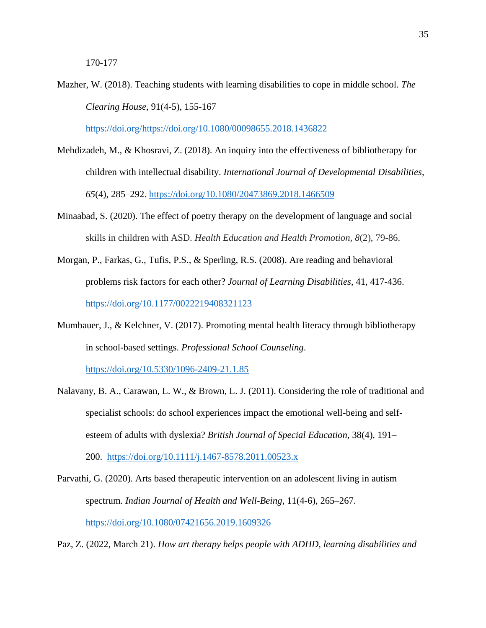Mazher, W. (2018). Teaching students with learning disabilities to cope in middle school. *The Clearing House*, 91(4-5), 155-167

[https://doi.org/https://doi.org/10.1080/00098655.2018.1436822](https://doi.org/https:/doi.org/10.1080/00098655.2018.1436822%20https:/doi.org/https:/doi.org/10.1080/00098655.2018.1436822)

- Mehdizadeh, M., & Khosravi, Z. (2018). An inquiry into the effectiveness of bibliotherapy for children with intellectual disability. *International Journal of Developmental Disabilities*, *65*(4), 285–292. [https://doi.org/10.1080/20473869.2018.1466509](https://doi.org/10.1080/20473869.2018.1466509https:/doi.org/10.1080/20473869.2018.1466509)
- Minaabad, S. (2020). The effect of poetry therapy on the development of language and social skills in children with ASD. *Health Education and Health Promotion, 8*(2), 79-86.
- Morgan, P., Farkas, G., Tufis, P.S., & Sperling, R.S. (2008). Are reading and behavioral problems risk factors for each other? *Journal of Learning Disabilities*, 41, 417-436. <https://doi.org/10.1177/0022219408321123>
- Mumbauer, J., & Kelchner, V. (2017). Promoting mental health literacy through bibliotherapy in school-based settings. *Professional School Counseling*.

<https://doi.org/10.5330/1096-2409-21.1.85>

- Nalavany, B. A., Carawan, L. W., & Brown, L. J. (2011). Considering the role of traditional and specialist schools: do school experiences impact the emotional well-being and selfesteem of adults with dyslexia? *British Journal of Special Education*, 38(4), 191– 200. <https://doi.org/10.1111/j.1467-8578.2011.00523.x>
- Parvathi, G. (2020). Arts based therapeutic intervention on an adolescent living in autism spectrum. *Indian Journal of Health and Well-Being*, 11(4-6), 265–267. <https://doi.org/10.1080/07421656.2019.1609326>

Paz, Z. (2022, March 21). *How art therapy helps people with ADHD, learning disabilities and*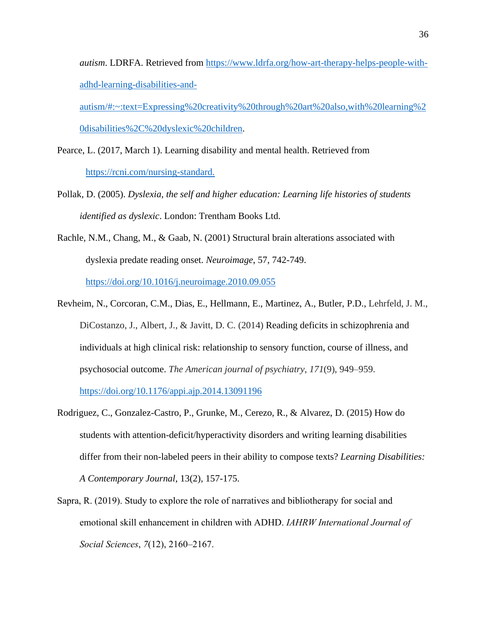*autism*. LDRFA. Retrieved from https://www.ldrfa.org/how-art-therapy-helps-people-withadhd-learning-disabilities-and-

autism/#:~:text=Expressing%20creativity%20through%20art%20also,with%20learning%2 0disabilities%2C%20dyslexic%20children.

Pearce, L. (2017, March 1). Learning disability and mental health. Retrieved from https://rcni.com/nursing-standard.

- Pollak, D. (2005). *Dyslexia, the self and higher education: Learning life histories of students identified as dyslexic*. London: Trentham Books Ltd.
- Rachle, N.M., Chang, M., & Gaab, N. (2001) Structural brain alterations associated with dyslexia predate reading onset. *Neuroimage*, 57, 742-749. https://doi.org/10.1016/j.neuroimage.2010.09.055
- Revheim, N., Corcoran, C.M., Dias, E., Hellmann, E., Martinez, A., Butler, P.D., Lehrfeld, J. M., DiCostanzo, J., Albert, J., & Javitt, D. C. (2014) Reading deficits in schizophrenia and individuals at high clinical risk: relationship to sensory function, course of illness, and psychosocial outcome. *The American journal of psychiatry*, *171*(9), 949–959.

https://doi.org/10.1176/appi.ajp.2014.13091196

- Rodriguez, C., Gonzalez-Castro, P., Grunke, M., Cerezo, R., & Alvarez, D. (2015) How do students with attention-deficit/hyperactivity disorders and writing learning disabilities differ from their non-labeled peers in their ability to compose texts? *Learning Disabilities: A Contemporary Journal*, 13(2), 157-175.
- Sapra, R. (2019). Study to explore the role of narratives and bibliotherapy for social and emotional skill enhancement in children with ADHD. *IAHRW International Journal of Social Sciences*, *7*(12), 2160–2167.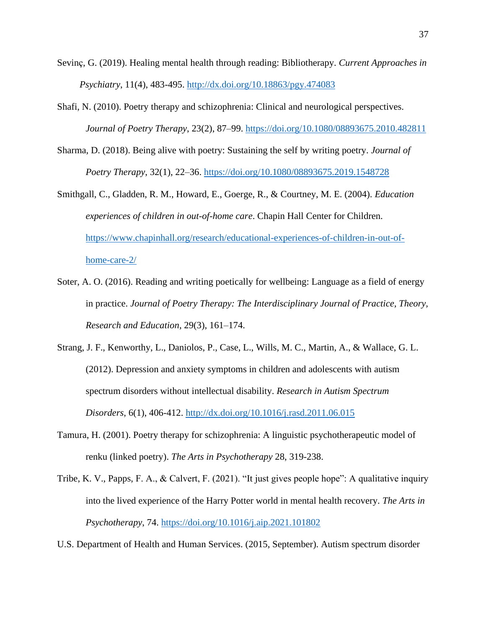- Sevinç, G. (2019). Healing mental health through reading: Bibliotherapy. *Current Approaches in Psychiatry*, 11(4), 483-495. http://dx.doi.org/10.18863/pgy.474083
- Shafi, N. (2010). Poetry therapy and schizophrenia: Clinical and neurological perspectives. *Journal of Poetry Therapy*, 23(2), 87–99. https://doi.org/10.1080/08893675.2010.482811
- Sharma, D. (2018). Being alive with poetry: Sustaining the self by writing poetry. *Journal of Poetry Therapy*, 32(1), 22–36. https://doi.org/10.1080/08893675.2019.1548728
- Smithgall, C., Gladden, R. M., Howard, E., Goerge, R., & Courtney, M. E. (2004). *Education experiences of children in out-of-home care*. Chapin Hall Center for Children. https://www.chapinhall.org/research/educational-experiences-of-children-in-out-ofhome-care-2/
- Soter, A. O. (2016). Reading and writing poetically for wellbeing: Language as a field of energy in practice. *Journal of Poetry Therapy: The Interdisciplinary Journal of Practice, Theory, Research and Education*, 29(3), 161–174.
- Strang, J. F., Kenworthy, L., Daniolos, P., Case, L., Wills, M. C., Martin, A., & Wallace, G. L. (2012). Depression and anxiety symptoms in children and adolescents with autism spectrum disorders without intellectual disability. *Research in Autism Spectrum Disorders*, 6(1), 406-412. http://dx.doi.org/10.1016/j.rasd.2011.06.015
- Tamura, H. (2001). Poetry therapy for schizophrenia: A linguistic psychotherapeutic model of renku (linked poetry). *The Arts in Psychotherapy* 28, 319-238.
- Tribe, K. V., Papps, F. A., & Calvert, F. (2021). "It just gives people hope": A qualitative inquiry into the lived experience of the Harry Potter world in mental health recovery. *The Arts in Psychotherapy*, 74. https://doi.org/10.1016/j.aip.2021.101802
- U.S. Department of Health and Human Services. (2015, September). Autism spectrum disorder